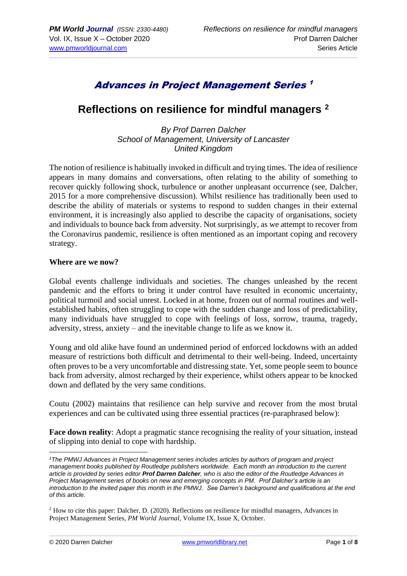## Advances in Project Management Series 1

### **Reflections on resilience for mindful managers <sup>2</sup>**

*By Prof Darren Dalcher School of Management, University of Lancaster United Kingdom*

The notion of resilience is habitually invoked in difficult and trying times. The idea of resilience appears in many domains and conversations, often relating to the ability of something to recover quickly following shock, turbulence or another unpleasant occurrence (see, Dalcher, 2015 for a more comprehensive discussion). Whilst resilience has traditionally been used to describe the ability of materials or systems to respond to sudden changes in their external environment, it is increasingly also applied to describe the capacity of organisations, society and individuals to bounce back from adversity. Not surprisingly, as we attempt to recover from the Coronavirus pandemic, resilience is often mentioned as an important coping and recovery strategy.

#### **Where are we now?**

Global events challenge individuals and societies. The changes unleashed by the recent pandemic and the efforts to bring it under control have resulted in economic uncertainty, political turmoil and social unrest. Locked in at home, frozen out of normal routines and wellestablished habits, often struggling to cope with the sudden change and loss of predictability, many individuals have struggled to cope with feelings of loss, sorrow, trauma, tragedy, adversity, stress, anxiety – and the inevitable change to life as we know it.

Young and old alike have found an undermined period of enforced lockdowns with an added measure of restrictions both difficult and detrimental to their well-being. Indeed, uncertainty often proves to be a very uncomfortable and distressing state. Yet, some people seem to bounce back from adversity, almost recharged by their experience, whilst others appear to be knocked down and deflated by the very same conditions.

Coutu (2002) maintains that resilience can help survive and recover from the most brutal experiences and can be cultivated using three essential practices (re-paraphrased below):

**Face down reality**: Adopt a pragmatic stance recognising the reality of your situation, instead of slipping into denial to cope with hardship.

*<sup>1</sup>The PMWJ Advances in Project Management series includes articles by authors of program and project management books published by Routledge publishers worldwide. Each month an introduction to the current article is provided by series editor Prof Darren Dalcher, who is also the editor of the Routledge Advances in Project Management series of books on new and emerging concepts in PM. Prof Dalcher's article is an introduction to the invited paper this month in the PMWJ. See Darren's background and qualifications at the end of this article.*

<sup>2</sup> How to cite this paper: Dalcher, D. (2020). Reflections on resilience for mindful managers, Advances in Project Management Series, *PM World Journal,* Volume IX, Issue X, October.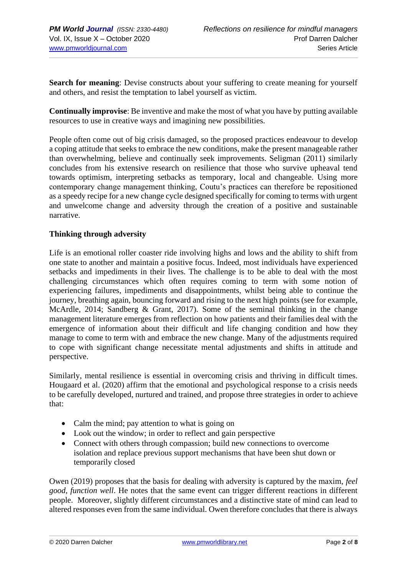**Search for meaning**: Devise constructs about your suffering to create meaning for yourself and others, and resist the temptation to label yourself as victim.

**Continually improvise**: Be inventive and make the most of what you have by putting available resources to use in creative ways and imagining new possibilities.

People often come out of big crisis damaged, so the proposed practices endeavour to develop a coping attitude that seeks to embrace the new conditions, make the present manageable rather than overwhelming, believe and continually seek improvements. Seligman (2011) similarly concludes from his extensive research on resilience that those who survive upheaval tend towards optimism, interpreting setbacks as temporary, local and changeable. Using more contemporary change management thinking, Coutu's practices can therefore be repositioned as a speedy recipe for a new change cycle designed specifically for coming to terms with urgent and unwelcome change and adversity through the creation of a positive and sustainable narrative.

#### **Thinking through adversity**

Life is an emotional roller coaster ride involving highs and lows and the ability to shift from one state to another and maintain a positive focus. Indeed, most individuals have experienced setbacks and impediments in their lives. The challenge is to be able to deal with the most challenging circumstances which often requires coming to term with some notion of experiencing failures, impediments and disappointments, whilst being able to continue the journey, breathing again, bouncing forward and rising to the next high points (see for example, McArdle, 2014; Sandberg & Grant, 2017). Some of the seminal thinking in the change management literature emerges from reflection on how patients and their families deal with the emergence of information about their difficult and life changing condition and how they manage to come to term with and embrace the new change. Many of the adjustments required to cope with significant change necessitate mental adjustments and shifts in attitude and perspective.

Similarly, mental resilience is essential in overcoming crisis and thriving in difficult times. Hougaard et al. (2020) affirm that the emotional and psychological response to a crisis needs to be carefully developed, nurtured and trained, and propose three strategies in order to achieve that:

- Calm the mind; pay attention to what is going on
- Look out the window; in order to reflect and gain perspective
- Connect with others through compassion; build new connections to overcome isolation and replace previous support mechanisms that have been shut down or temporarily closed

Owen (2019) proposes that the basis for dealing with adversity is captured by the maxim, *feel good, function well*. He notes that the same event can trigger different reactions in different people. Moreover, slightly different circumstances and a distinctive state of mind can lead to altered responses even from the same individual. Owen therefore concludes that there is always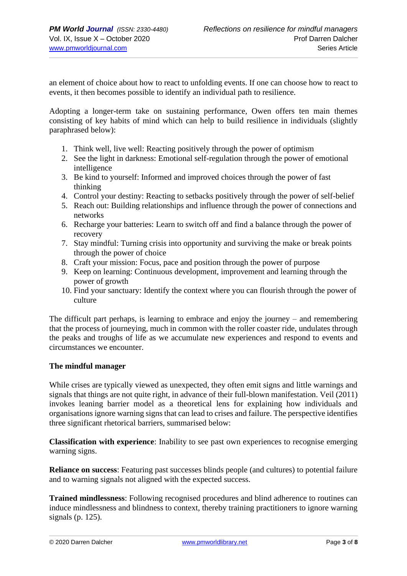an element of choice about how to react to unfolding events. If one can choose how to react to events, it then becomes possible to identify an individual path to resilience.

Adopting a longer-term take on sustaining performance, Owen offers ten main themes consisting of key habits of mind which can help to build resilience in individuals (slightly paraphrased below):

- 1. Think well, live well: Reacting positively through the power of optimism
- 2. See the light in darkness: Emotional self-regulation through the power of emotional intelligence
- 3. Be kind to yourself: Informed and improved choices through the power of fast thinking
- 4. Control your destiny: Reacting to setbacks positively through the power of self-belief
- 5. Reach out: Building relationships and influence through the power of connections and networks
- 6. Recharge your batteries: Learn to switch off and find a balance through the power of recovery
- 7. Stay mindful: Turning crisis into opportunity and surviving the make or break points through the power of choice
- 8. Craft your mission: Focus, pace and position through the power of purpose
- 9. Keep on learning: Continuous development, improvement and learning through the power of growth
- 10. Find your sanctuary: Identify the context where you can flourish through the power of culture

The difficult part perhaps, is learning to embrace and enjoy the journey – and remembering that the process of journeying, much in common with the roller coaster ride, undulates through the peaks and troughs of life as we accumulate new experiences and respond to events and circumstances we encounter.

#### **The mindful manager**

While crises are typically viewed as unexpected, they often emit signs and little warnings and signals that things are not quite right, in advance of their full-blown manifestation. Veil (2011) invokes leaning barrier model as a theoretical lens for explaining how individuals and organisations ignore warning signs that can lead to crises and failure. The perspective identifies three significant rhetorical barriers, summarised below:

**Classification with experience**: Inability to see past own experiences to recognise emerging warning signs.

**Reliance on success**: Featuring past successes blinds people (and cultures) to potential failure and to warning signals not aligned with the expected success.

**Trained mindlessness**: Following recognised procedures and blind adherence to routines can induce mindlessness and blindness to context, thereby training practitioners to ignore warning signals (p. 125).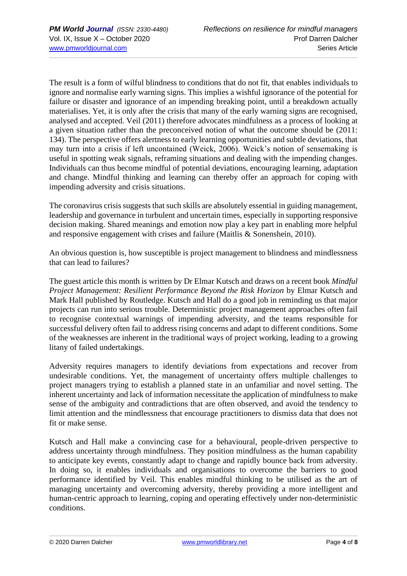The result is a form of wilful blindness to conditions that do not fit, that enables individuals to ignore and normalise early warning signs. This implies a wishful ignorance of the potential for failure or disaster and ignorance of an impending breaking point, until a breakdown actually materialises. Yet, it is only after the crisis that many of the early warning signs are recognised, analysed and accepted. Veil (2011) therefore advocates mindfulness as a process of looking at a given situation rather than the preconceived notion of what the outcome should be (2011: 134). The perspective offers alertness to early learning opportunities and subtle deviations, that may turn into a crisis if left uncontained (Weick, 2006). Weick's notion of sensemaking is useful in spotting weak signals, reframing situations and dealing with the impending changes. Individuals can thus become mindful of potential deviations, encouraging learning, adaptation and change. Mindful thinking and learning can thereby offer an approach for coping with impending adversity and crisis situations.

The coronavirus crisis suggests that such skills are absolutely essential in guiding management, leadership and governance in turbulent and uncertain times, especially in supporting responsive decision making. Shared meanings and emotion now play a key part in enabling more helpful and responsive engagement with crises and failure (Maitlis & Sonenshein, 2010).

An obvious question is, how susceptible is project management to blindness and mindlessness that can lead to failures?

The guest article this month is written by Dr Elmar Kutsch and draws on a recent book *Mindful Project Management: Resilient Performance Beyond the Risk Horizon* by Elmar Kutsch and Mark Hall published by Routledge. Kutsch and Hall do a good job in reminding us that major projects can run into serious trouble. Deterministic project management approaches often fail to recognise contextual warnings of impending adversity, and the teams responsible for successful delivery often fail to address rising concerns and adapt to different conditions. Some of the weaknesses are inherent in the traditional ways of project working, leading to a growing litany of failed undertakings.

Adversity requires managers to identify deviations from expectations and recover from undesirable conditions. Yet, the management of uncertainty offers multiple challenges to project managers trying to establish a planned state in an unfamiliar and novel setting. The inherent uncertainty and lack of information necessitate the application of mindfulness to make sense of the ambiguity and contradictions that are often observed, and avoid the tendency to limit attention and the mindlessness that encourage practitioners to dismiss data that does not fit or make sense.

Kutsch and Hall make a convincing case for a behavioural, people-driven perspective to address uncertainty through mindfulness. They position mindfulness as the human capability to anticipate key events, constantly adapt to change and rapidly bounce back from adversity. In doing so, it enables individuals and organisations to overcome the barriers to good performance identified by Veil. This enables mindful thinking to be utilised as the art of managing uncertainty and overcoming adversity, thereby providing a more intelligent and human-centric approach to learning, coping and operating effectively under non-deterministic conditions.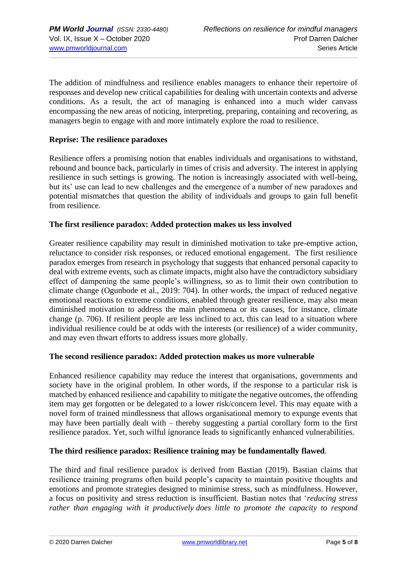The addition of mindfulness and resilience enables managers to enhance their repertoire of responses and develop new critical capabilities for dealing with uncertain contexts and adverse conditions. As a result, the act of managing is enhanced into a much wider canvass encompassing the new areas of noticing, interpreting, preparing, containing and recovering, as managers begin to engage with and more intimately explore the road to resilience.

#### **Reprise: The resilience paradoxes**

Resilience offers a promising notion that enables individuals and organisations to withstand, rebound and bounce back, particularly in times of crisis and adversity. The interest in applying resilience in such settings is growing. The notion is increasingly associated with well-being, but its' use can lead to new challenges and the emergence of a number of new paradoxes and potential mismatches that question the ability of individuals and groups to gain full benefit from resilience.

#### **The first resilience paradox: Added protection makes us less involved**

Greater resilience capability may result in diminished motivation to take pre-emptive action, reluctance to consider risk responses, or reduced emotional engagement. The first resilience paradox emerges from research in psychology that suggests that enhanced personal capacity to deal with extreme events, such as climate impacts, might also have the contradictory subsidiary effect of dampening the same people's willingness, so as to limit their own contribution to climate change (Ogunbode et al., 2019: 704). In other words, the impact of reduced negative emotional reactions to extreme conditions, enabled through greater resilience, may also mean diminished motivation to address the main phenomena or its causes, for instance, climate change (p. 706). If resilient people are less inclined to act, this can lead to a situation where individual resilience could be at odds with the interests (or resilience) of a wider community, and may even thwart efforts to address issues more globally.

#### **The second resilience paradox: Added protection makes us more vulnerable**

Enhanced resilience capability may reduce the interest that organisations, governments and society have in the original problem. In other words, if the response to a particular risk is matched by enhanced resilience and capability to mitigate the negative outcomes, the offending item may get forgotten or be delegated to a lower risk/concern level. This may equate with a novel form of trained mindlessness that allows organisational memory to expunge events that may have been partially dealt with – thereby suggesting a partial corollary form to the first resilience paradox. Yet, such wilful ignorance leads to significantly enhanced vulnerabilities.

#### **The third resilience paradox: Resilience training may be fundamentally flawed**.

The third and final resilience paradox is derived from Bastian (2019). Bastian claims that resilience training programs often build people's capacity to maintain positive thoughts and emotions and promote strategies designed to minimise stress, such as mindfulness. However, a focus on positivity and stress reduction is insufficient. Bastian notes that '*reducing stress rather than engaging with it productively does little to promote the capacity to respond*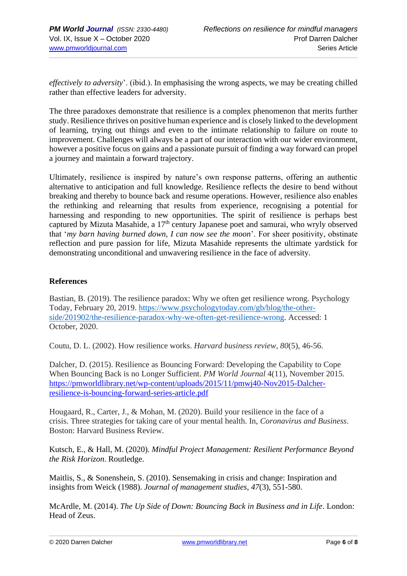*effectively to adversity*'. (ibid.). In emphasising the wrong aspects, we may be creating chilled rather than effective leaders for adversity.

The three paradoxes demonstrate that resilience is a complex phenomenon that merits further study. Resilience thrives on positive human experience and is closely linked to the development of learning, trying out things and even to the intimate relationship to failure on route to improvement. Challenges will always be a part of our interaction with our wider environment, however a positive focus on gains and a passionate pursuit of finding a way forward can propel a journey and maintain a forward trajectory.

Ultimately, resilience is inspired by nature's own response patterns, offering an authentic alternative to anticipation and full knowledge. Resilience reflects the desire to bend without breaking and thereby to bounce back and resume operations. However, resilience also enables the rethinking and relearning that results from experience, recognising a potential for harnessing and responding to new opportunities. The spirit of resilience is perhaps best captured by Mizuta Masahide, a 17<sup>th</sup> century Japanese poet and samurai, who wryly observed that '*my barn having burned down, I can now see the moon*'. For sheer positivity, obstinate reflection and pure passion for life, Mizuta Masahide represents the ultimate yardstick for demonstrating unconditional and unwavering resilience in the face of adversity.

#### **References**

Bastian, B. (2019). The resilience paradox: Why we often get resilience wrong. Psychology Today, February 20, 2019. [https://www.psychologytoday.com/gb/blog/the-other](https://www.psychologytoday.com/gb/blog/the-other-side/201902/the-resilience-paradox-why-we-often-get-resilience-wrong)[side/201902/the-resilience-paradox-why-we-often-get-resilience-wrong.](https://www.psychologytoday.com/gb/blog/the-other-side/201902/the-resilience-paradox-why-we-often-get-resilience-wrong) Accessed: 1 October, 2020.

Coutu, D. L. (2002). How resilience works. *Harvard business review*, *80*(5), 46-56.

Dalcher, D. (2015). Resilience as Bouncing Forward: Developing the Capability to Cope When Bouncing Back is no Longer Sufficient. *PM World Journal* 4(11), November 2015. [https://pmworldlibrary.net/wp-content/uploads/2015/11/pmwj40-Nov2015-Dalcher](https://pmworldlibrary.net/wp-content/uploads/2015/11/pmwj40-Nov2015-Dalcher-resilience-is-bouncing-forward-series-article.pdf)[resilience-is-bouncing-forward-series-article.pdf](https://pmworldlibrary.net/wp-content/uploads/2015/11/pmwj40-Nov2015-Dalcher-resilience-is-bouncing-forward-series-article.pdf)

Hougaard, R., Carter, J., & Mohan, M. (2020). Build your resilience in the face of a crisis. Three strategies for taking care of your mental health. In, *Coronavirus and Business*. Boston: Harvard Business Review.

Kutsch, E., & Hall, M. (2020). *Mindful Project Management: Resilient Performance Beyond the Risk Horizon*. Routledge.

Maitlis, S., & Sonenshein, S. (2010). Sensemaking in crisis and change: Inspiration and insights from Weick (1988). *Journal of management studies*, *47*(3), 551-580.

McArdle, M. (2014). *The Up Side of Down: Bouncing Back in Business and in Life*. London: Head of Zeus.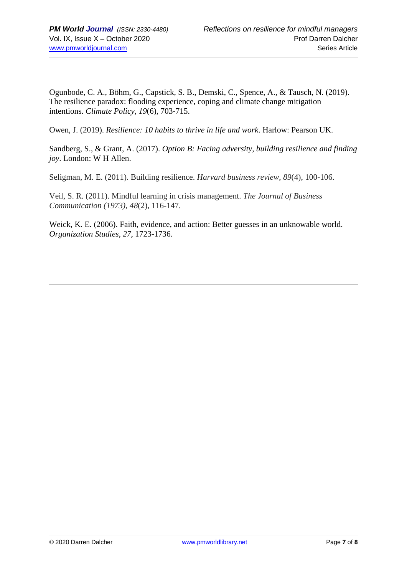Ogunbode, C. A., Böhm, G., Capstick, S. B., Demski, C., Spence, A., & Tausch, N. (2019). The resilience paradox: flooding experience, coping and climate change mitigation intentions. *Climate Policy*, *19*(6), 703-715.

Owen, J. (2019). *Resilience: 10 habits to thrive in life and work*. Harlow: Pearson UK.

Sandberg, S., & Grant, A. (2017). *Option B: Facing adversity, building resilience and finding joy*. London: W H Allen.

Seligman, M. E. (2011). Building resilience. *Harvard business review*, *89*(4), 100-106.

Veil, S. R. (2011). Mindful learning in crisis management. *The Journal of Business Communication (1973)*, *48*(2), 116-147.

Weick, K. E. (2006). Faith, evidence, and action: Better guesses in an unknowable world. *Organization Studies, 27*, 1723-1736.